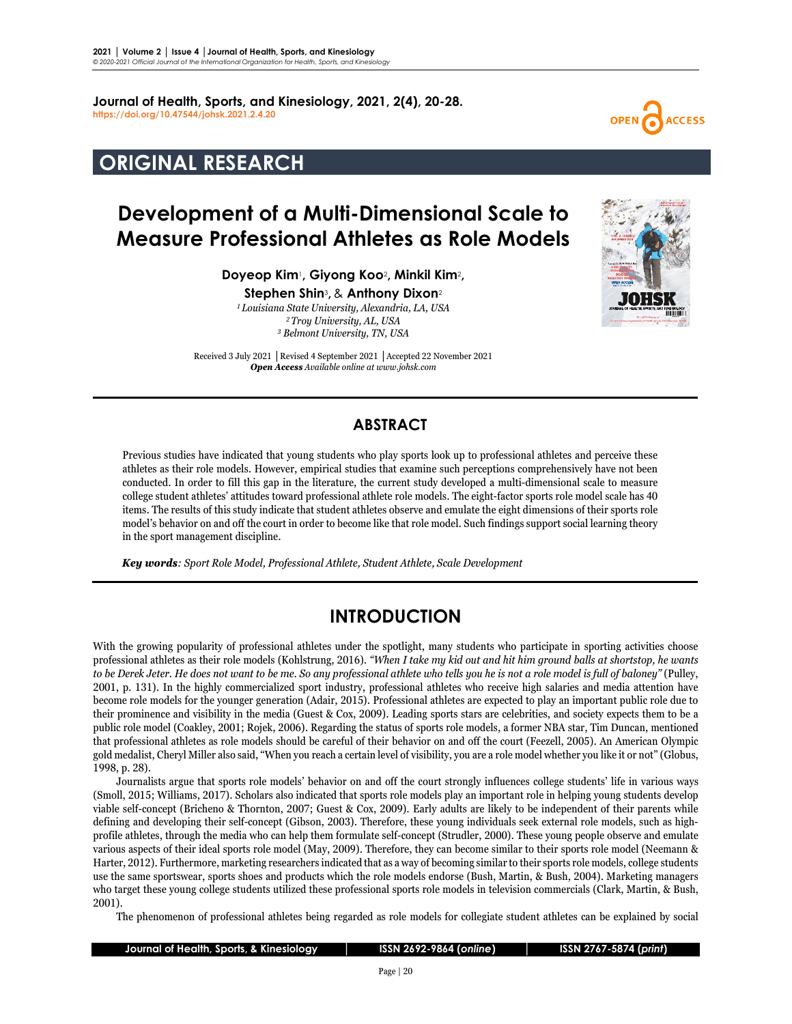**Journal of Health, Sports, and Kinesiology, 2021, 2(4), 20-28. <https://doi.org/10.47544/johsk.2021.2.4.20>**

# **ORIGINAL RESEARCH**

# **Development of a Multi-Dimensional Scale to Measure Professional Athletes as Role Models**

**Doyeop Kim**1**, Giyong Koo**2**, Minkil Kim**2**,** 

**Stephen Shin**3**,**& **Anthony Dixon**<sup>2</sup>

*1Louisiana State University, Alexandria, LA, USA 2Troy University, AL, USA <sup>3</sup> Belmont University, TN, USA*

Received 3 July 2021 **│**Revised 4 September 2021 **│**Accepted 22 November 2021 *Open Access Available online at www.johsk.com*



**ACCESS** 

## **ABSTRACT**

Previous studies have indicated that young students who play sports look up to professional athletes and perceive these athletes as their role models. However, empirical studies that examine such perceptions comprehensively have not been conducted. In order to fill this gap in the literature, the current study developed a multi-dimensional scale to measure college student athletes' attitudes toward professional athlete role models. The eight-factor sports role model scale has 40 items. The results of this study indicate that student athletes observe and emulate the eight dimensions of their sports role model's behavior on and off the court in order to become like that role model. Such findings support social learning theory in the sport management discipline.

*Key words: Sport Role Model, Professional Athlete, Student Athlete, Scale Development*

## **INTRODUCTION**

With the growing popularity of professional athletes under the spotlight, many students who participate in sporting activities choose professional athletes as their role models (Kohlstrung, 2016). *"When I take my kid out and hit him ground balls at shortstop, he wants to be Derek Jeter. He does not want to be me. So any professional athlete who tells you he is not a role model is full of baloney"* (Pulley, 2001, p. 131). In the highly commercialized sport industry, professional athletes who receive high salaries and media attention have become role models for the younger generation (Adair, 2015). Professional athletes are expected to play an important public role due to their prominence and visibility in the media (Guest & Cox, 2009). Leading sports stars are celebrities, and society expects them to be a public role model (Coakley, 2001; Rojek, 2006). Regarding the status of sports role models, a former NBA star, Tim Duncan, mentioned that professional athletes as role models should be careful of their behavior on and off the court (Feezell, 2005). An American Olympic gold medalist, Cheryl Miller also said, "When you reach a certain level of visibility, you are a role model whether you like it or not" (Globus, 1998, p. 28).

Journalists argue that sports role models' behavior on and off the court strongly influences college students' life in various ways (Smoll, 2015; Williams, 2017). Scholars also indicated that sports role models play an important role in helping young students develop viable self-concept (Bricheno & Thornton, 2007; Guest & Cox, 2009). Early adults are likely to be independent of their parents while defining and developing their self-concept (Gibson, 2003). Therefore, these young individuals seek external role models, such as highprofile athletes, through the media who can help them formulate self-concept (Strudler, 2000). These young people observe and emulate various aspects of their ideal sports role model (May, 2009). Therefore, they can become similar to their sports role model (Neemann & Harter, 2012). Furthermore, marketing researchers indicated that as a way of becoming similar to their sports role models, college students use the same sportswear, sports shoes and products which the role models endorse (Bush, Martin, & Bush, 2004). Marketing managers who target these young college students utilized these professional sports role models in television commercials (Clark, Martin, & Bush, 2001).

The phenomenon of professional athletes being regarded as role models for collegiate student athletes can be explained by social

| Journal of Health, Sports, & Kinesiology |  |
|------------------------------------------|--|
|------------------------------------------|--|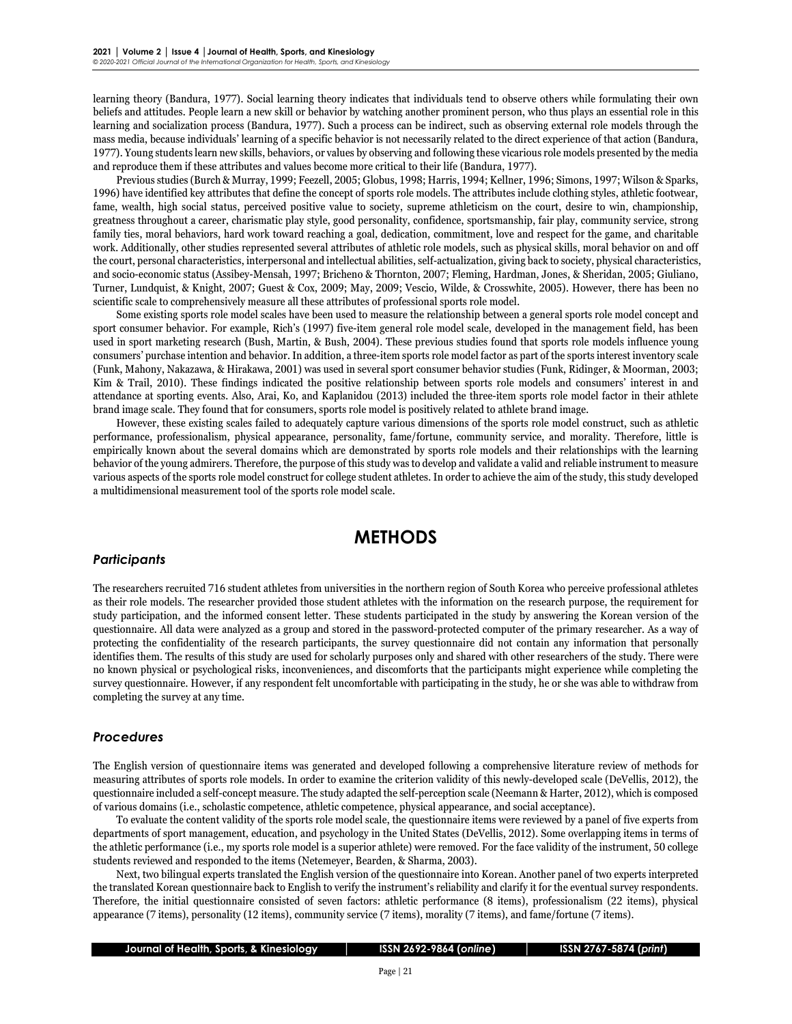learning theory (Bandura, 1977). Social learning theory indicates that individuals tend to observe others while formulating their own beliefs and attitudes. People learn a new skill or behavior by watching another prominent person, who thus plays an essential role in this learning and socialization process (Bandura, 1977). Such a process can be indirect, such as observing external role models through the mass media, because individuals' learning of a specific behavior is not necessarily related to the direct experience of that action (Bandura, 1977). Young students learn new skills, behaviors, or values by observing and following these vicarious role models presented by the media and reproduce them if these attributes and values become more critical to their life (Bandura, 1977).

Previous studies (Burch & Murray, 1999; Feezell, 2005; Globus, 1998; Harris, 1994; Kellner, 1996; Simons, 1997; Wilson & Sparks, 1996) have identified key attributes that define the concept of sports role models. The attributes include clothing styles, athletic footwear, fame, wealth, high social status, perceived positive value to society, supreme athleticism on the court, desire to win, championship, greatness throughout a career, charismatic play style, good personality, confidence, sportsmanship, fair play, community service, strong family ties, moral behaviors, hard work toward reaching a goal, dedication, commitment, love and respect for the game, and charitable work. Additionally, other studies represented several attributes of athletic role models, such as physical skills, moral behavior on and off the court, personal characteristics, interpersonal and intellectual abilities, self-actualization, giving back to society, physical characteristics, and socio-economic status (Assibey-Mensah, 1997; Bricheno & Thornton, 2007; Fleming, Hardman, Jones, & Sheridan, 2005; Giuliano, Turner, Lundquist, & Knight, 2007; Guest & Cox, 2009; May, 2009; Vescio, Wilde, & Crosswhite, 2005). However, there has been no scientific scale to comprehensively measure all these attributes of professional sports role model.

Some existing sports role model scales have been used to measure the relationship between a general sports role model concept and sport consumer behavior. For example, Rich's (1997) five-item general role model scale, developed in the management field, has been used in sport marketing research (Bush, Martin, & Bush, 2004). These previous studies found that sports role models influence young consumers' purchase intention and behavior. In addition, a three-item sports role model factor as part of the sports interest inventory scale (Funk, Mahony, Nakazawa, & Hirakawa, 2001) was used in several sport consumer behavior studies (Funk, Ridinger, & Moorman, 2003; Kim & Trail, 2010). These findings indicated the positive relationship between sports role models and consumers' interest in and attendance at sporting events. Also, Arai, Ko, and Kaplanidou (2013) included the three-item sports role model factor in their athlete brand image scale. They found that for consumers, sports role model is positively related to athlete brand image.

However, these existing scales failed to adequately capture various dimensions of the sports role model construct, such as athletic performance, professionalism, physical appearance, personality, fame/fortune, community service, and morality. Therefore, little is empirically known about the several domains which are demonstrated by sports role models and their relationships with the learning behavior of the young admirers. Therefore, the purpose of this study was to develop and validate a valid and reliable instrument to measure various aspects of the sports role model construct for college student athletes. In order to achieve the aim of the study, this study developed a multidimensional measurement tool of the sports role model scale.

## **METHODS**

### *Participants*

The researchers recruited 716 student athletes from universities in the northern region of South Korea who perceive professional athletes as their role models. The researcher provided those student athletes with the information on the research purpose, the requirement for study participation, and the informed consent letter. These students participated in the study by answering the Korean version of the questionnaire. All data were analyzed as a group and stored in the password-protected computer of the primary researcher. As a way of protecting the confidentiality of the research participants, the survey questionnaire did not contain any information that personally identifies them. The results of this study are used for scholarly purposes only and shared with other researchers of the study. There were no known physical or psychological risks, inconveniences, and discomforts that the participants might experience while completing the survey questionnaire. However, if any respondent felt uncomfortable with participating in the study, he or she was able to withdraw from completing the survey at any time.

#### *Procedures*

The English version of questionnaire items was generated and developed following a comprehensive literature review of methods for measuring attributes of sports role models. In order to examine the criterion validity of this newly-developed scale (DeVellis, 2012), the questionnaire included a self-concept measure. The study adapted the self-perception scale (Neemann & Harter, 2012), which is composed of various domains (i.e., scholastic competence, athletic competence, physical appearance, and social acceptance).

To evaluate the content validity of the sports role model scale, the questionnaire items were reviewed by a panel of five experts from departments of sport management, education, and psychology in the United States (DeVellis, 2012). Some overlapping items in terms of the athletic performance (i.e., my sports role model is a superior athlete) were removed. For the face validity of the instrument, 50 college students reviewed and responded to the items (Netemeyer, Bearden, & Sharma, 2003).

Next, two bilingual experts translated the English version of the questionnaire into Korean. Another panel of two experts interpreted the translated Korean questionnaire back to English to verify the instrument's reliability and clarify it for the eventual survey respondents. Therefore, the initial questionnaire consisted of seven factors: athletic performance (8 items), professionalism (22 items), physical appearance (7 items), personality (12 items), community service (7 items), morality (7 items), and fame/fortune (7 items).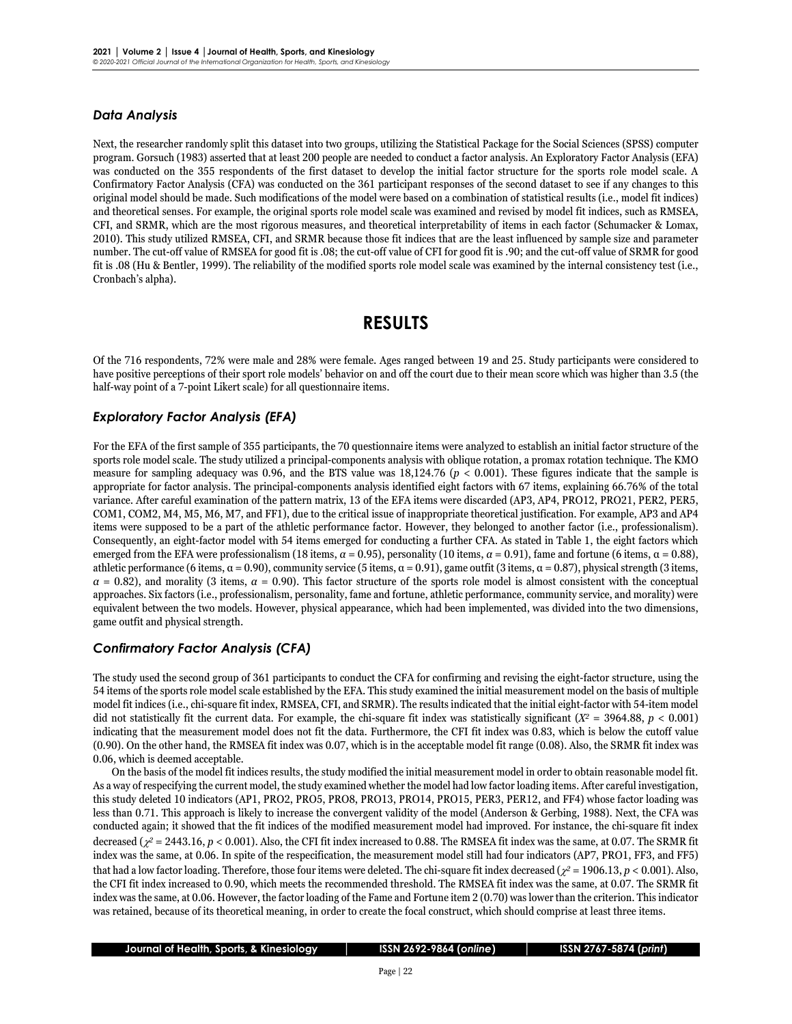### *Data Analysis*

Next, the researcher randomly split this dataset into two groups, utilizing the Statistical Package for the Social Sciences (SPSS) computer program. Gorsuch (1983) asserted that at least 200 people are needed to conduct a factor analysis. An Exploratory Factor Analysis (EFA) was conducted on the 355 respondents of the first dataset to develop the initial factor structure for the sports role model scale. A Confirmatory Factor Analysis (CFA) was conducted on the 361 participant responses of the second dataset to see if any changes to this original model should be made. Such modifications of the model were based on a combination of statistical results (i.e., model fit indices) and theoretical senses. For example, the original sports role model scale was examined and revised by model fit indices, such as RMSEA, CFI, and SRMR, which are the most rigorous measures, and theoretical interpretability of items in each factor (Schumacker & Lomax, 2010). This study utilized RMSEA, CFI, and SRMR because those fit indices that are the least influenced by sample size and parameter number. The cut-off value of RMSEA for good fit is .08; the cut-off value of CFI for good fit is .90; and the cut-off value of SRMR for good fit is .08 (Hu & Bentler, 1999). The reliability of the modified sports role model scale was examined by the internal consistency test (i.e., Cronbach's alpha).

## **RESULTS**

Of the 716 respondents, 72% were male and 28% were female. Ages ranged between 19 and 25. Study participants were considered to have positive perceptions of their sport role models' behavior on and off the court due to their mean score which was higher than 3.5 (the half-way point of a 7-point Likert scale) for all questionnaire items.

### *Exploratory Factor Analysis (EFA)*

For the EFA of the first sample of 355 participants, the 70 questionnaire items were analyzed to establish an initial factor structure of the sports role model scale. The study utilized a principal-components analysis with oblique rotation, a promax rotation technique. The KMO measure for sampling adequacy was 0.96, and the BTS value was 18,124.76 (*p* < 0.001). These figures indicate that the sample is appropriate for factor analysis. The principal-components analysis identified eight factors with 67 items, explaining 66.76% of the total variance. After careful examination of the pattern matrix, 13 of the EFA items were discarded (AP3, AP4, PRO12, PRO21, PER2, PER5, COM1, COM2, M4, M5, M6, M7, and FF1), due to the critical issue of inappropriate theoretical justification. For example, AP3 and AP4 items were supposed to be a part of the athletic performance factor. However, they belonged to another factor (i.e., professionalism). Consequently, an eight-factor model with 54 items emerged for conducting a further CFA. As stated in Table 1, the eight factors which emerged from the EFA were professionalism (18 items,  $\alpha = 0.95$ ), personality (10 items,  $\alpha = 0.91$ ), fame and fortune (6 items,  $\alpha = 0.88$ ), athletic performance (6 items,  $\alpha = 0.90$ ), community service (5 items,  $\alpha = 0.91$ ), game outfit (3 items,  $\alpha = 0.87$ ), physical strength (3 items,  $\alpha$  = 0.82), and morality (3 items,  $\alpha$  = 0.90). This factor structure of the sports role model is almost consistent with the conceptual approaches. Six factors (i.e., professionalism, personality, fame and fortune, athletic performance, community service, and morality) were equivalent between the two models. However, physical appearance, which had been implemented, was divided into the two dimensions, game outfit and physical strength.

### *Confirmatory Factor Analysis (CFA)*

The study used the second group of 361 participants to conduct the CFA for confirming and revising the eight-factor structure, using the 54 items of the sports role model scale established by the EFA. This study examined the initial measurement model on the basis of multiple model fit indices (i.e., chi-square fit index, RMSEA, CFI, and SRMR). The results indicated that the initial eight-factor with 54-item model did not statistically fit the current data. For example, the chi-square fit index was statistically significant  $(X^2 = 3964.88, p < 0.001)$ indicating that the measurement model does not fit the data. Furthermore, the CFI fit index was 0.83, which is below the cutoff value (0.90). On the other hand, the RMSEA fit index was 0.07, which is in the acceptable model fit range (0.08). Also, the SRMR fit index was 0.06, which is deemed acceptable.

On the basis of the model fit indices results, the study modified the initial measurement model in order to obtain reasonable model fit. As a way of respecifying the current model, the study examined whether the model had low factor loading items. After careful investigation, this study deleted 10 indicators (AP1, PRO2, PRO5, PRO8, PRO13, PRO14, PRO15, PER3, PER12, and FF4) whose factor loading was less than 0.71. This approach is likely to increase the convergent validity of the model (Anderson & Gerbing, 1988). Next, the CFA was conducted again; it showed that the fit indices of the modified measurement model had improved. For instance, the chi-square fit index decreased (χ*<sup>2</sup>* = 2443.16, *p* < 0.001). Also, the CFI fit index increased to 0.88. The RMSEA fit index was the same, at 0.07. The SRMR fit index was the same, at 0.06. In spite of the respecification, the measurement model still had four indicators (AP7, PRO1, FF3, and FF5) that had a low factor loading. Therefore, those four items were deleted. The chi-square fit index decreased (χ*<sup>2</sup>* = 1906.13, *p* < 0.001). Also, the CFI fit index increased to 0.90, which meets the recommended threshold. The RMSEA fit index was the same, at 0.07. The SRMR fit index was the same, at 0.06. However, the factor loading of the Fame and Fortune item 2 (0.70) was lower than the criterion. This indicator was retained, because of its theoretical meaning, in order to create the focal construct, which should comprise at least three items.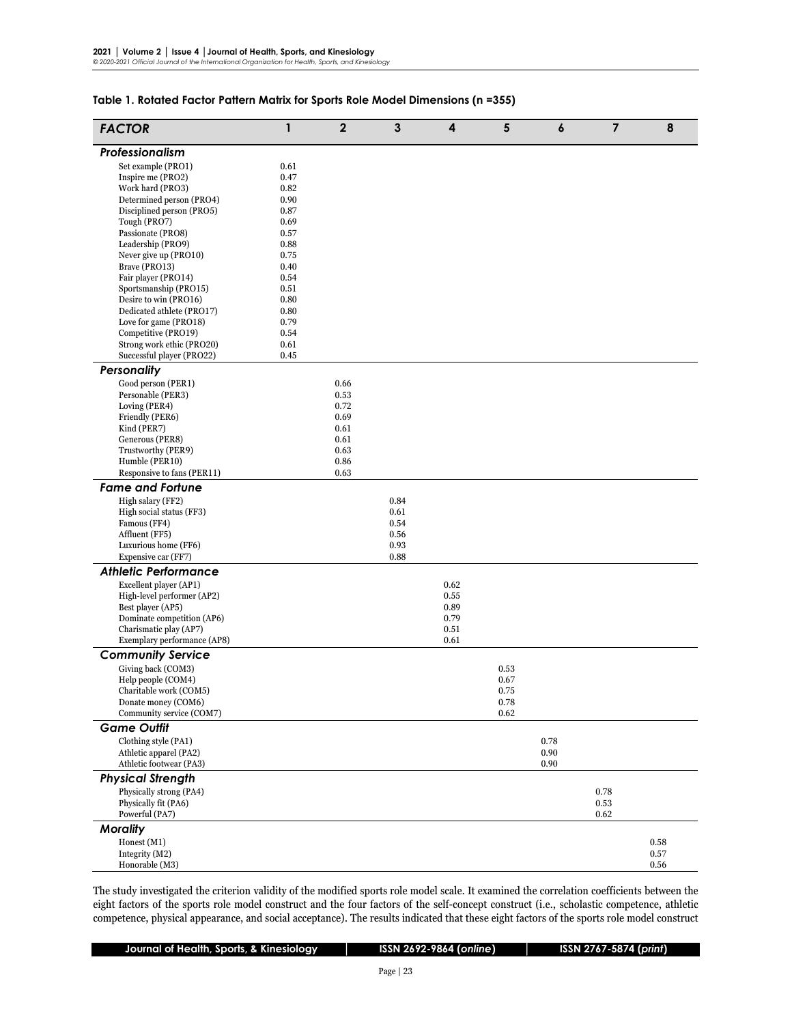### **Table 1. Rotated Factor Pattern Matrix for Sports Role Model Dimensions (n =355)**

| <b>FACTOR</b>                                        | 1            | $\overline{2}$ | $\mathbf{3}$ | 4            | 5    | $\boldsymbol{6}$ | $\overline{7}$ | 8    |
|------------------------------------------------------|--------------|----------------|--------------|--------------|------|------------------|----------------|------|
| Professionalism                                      |              |                |              |              |      |                  |                |      |
| Set example (PRO1)                                   | 0.61         |                |              |              |      |                  |                |      |
| Inspire me (PRO2)                                    | 0.47         |                |              |              |      |                  |                |      |
| Work hard (PRO3)                                     | 0.82         |                |              |              |      |                  |                |      |
| Determined person (PRO4)                             | 0.90         |                |              |              |      |                  |                |      |
| Disciplined person (PRO5)<br>Tough (PRO7)            | 0.87<br>0.69 |                |              |              |      |                  |                |      |
| Passionate (PRO8)                                    | 0.57         |                |              |              |      |                  |                |      |
| Leadership (PRO9)                                    | 0.88         |                |              |              |      |                  |                |      |
| Never give up (PRO10)                                | 0.75         |                |              |              |      |                  |                |      |
| Brave (PRO13)                                        | 0.40         |                |              |              |      |                  |                |      |
| Fair player (PRO14)                                  | 0.54         |                |              |              |      |                  |                |      |
| Sportsmanship (PRO15)<br>Desire to win (PRO16)       | 0.51         |                |              |              |      |                  |                |      |
| Dedicated athlete (PRO17)                            | 0.80<br>0.80 |                |              |              |      |                  |                |      |
| Love for game (PRO18)                                | 0.79         |                |              |              |      |                  |                |      |
| Competitive (PRO19)                                  | 0.54         |                |              |              |      |                  |                |      |
| Strong work ethic (PRO20)                            | 0.61         |                |              |              |      |                  |                |      |
| Successful player (PRO22)                            | 0.45         |                |              |              |      |                  |                |      |
| <b>Personality</b>                                   |              |                |              |              |      |                  |                |      |
| Good person (PER1)                                   |              | 0.66           |              |              |      |                  |                |      |
| Personable (PER3)                                    |              | 0.53           |              |              |      |                  |                |      |
| Loving (PER4)                                        |              | 0.72           |              |              |      |                  |                |      |
| Friendly (PER6)                                      |              | 0.69           |              |              |      |                  |                |      |
| Kind (PER7)<br>Generous (PER8)                       |              | 0.61<br>0.61   |              |              |      |                  |                |      |
| Trustworthy (PER9)                                   |              | 0.63           |              |              |      |                  |                |      |
| Humble (PER10)                                       |              | 0.86           |              |              |      |                  |                |      |
| Responsive to fans (PER11)                           |              | 0.63           |              |              |      |                  |                |      |
| <b>Fame and Fortune</b>                              |              |                |              |              |      |                  |                |      |
| High salary (FF2)                                    |              |                | 0.84         |              |      |                  |                |      |
| High social status (FF3)                             |              |                | 0.61         |              |      |                  |                |      |
| Famous (FF4)                                         |              |                | 0.54         |              |      |                  |                |      |
| Affluent (FF5)                                       |              |                | 0.56         |              |      |                  |                |      |
| Luxurious home (FF6)                                 |              |                | 0.93         |              |      |                  |                |      |
| Expensive car (FF7)                                  |              |                | 0.88         |              |      |                  |                |      |
| <b>Athletic Performance</b>                          |              |                |              |              |      |                  |                |      |
| Excellent player (AP1)                               |              |                |              | 0.62         |      |                  |                |      |
| High-level performer (AP2)                           |              |                |              | 0.55         |      |                  |                |      |
| Best player (AP5)                                    |              |                |              | 0.89         |      |                  |                |      |
| Dominate competition (AP6)<br>Charismatic play (AP7) |              |                |              | 0.79<br>0.51 |      |                  |                |      |
| Exemplary performance (AP8)                          |              |                |              | 0.61         |      |                  |                |      |
| <b>Community Service</b>                             |              |                |              |              |      |                  |                |      |
| Giving back (COM3)                                   |              |                |              |              | 0.53 |                  |                |      |
| Help people (COM4)                                   |              |                |              |              | 0.67 |                  |                |      |
| Charitable work (COM5)                               |              |                |              |              | 0.75 |                  |                |      |
| Donate money (COM6)                                  |              |                |              |              | 0.78 |                  |                |      |
| Community service (COM7)                             |              |                |              |              | 0.62 |                  |                |      |
| <b>Game Outfit</b>                                   |              |                |              |              |      |                  |                |      |
| Clothing style (PA1)                                 |              |                |              |              |      | 0.78             |                |      |
| Athletic apparel (PA2)                               |              |                |              |              |      | 0.90             |                |      |
| Athletic footwear (PA3)                              |              |                |              |              |      | 0.90             |                |      |
| <b>Physical Strength</b>                             |              |                |              |              |      |                  |                |      |
| Physically strong (PA4)                              |              |                |              |              |      |                  | 0.78           |      |
| Physically fit (PA6)                                 |              |                |              |              |      |                  | 0.53           |      |
| Powerful (PA7)                                       |              |                |              |              |      |                  | 0.62           |      |
| <b>Morality</b>                                      |              |                |              |              |      |                  |                |      |
| Honest (M1)                                          |              |                |              |              |      |                  |                | 0.58 |
| Integrity (M2)                                       |              |                |              |              |      |                  |                | 0.57 |
| Honorable (M3)                                       |              |                |              |              |      |                  |                | 0.56 |

The study investigated the criterion validity of the modified sports role model scale. It examined the correlation coefficients between the eight factors of the sports role model construct and the four factors of the self-concept construct (i.e., scholastic competence, athletic competence, physical appearance, and social acceptance). The results indicated that these eight factors of the sports role model construct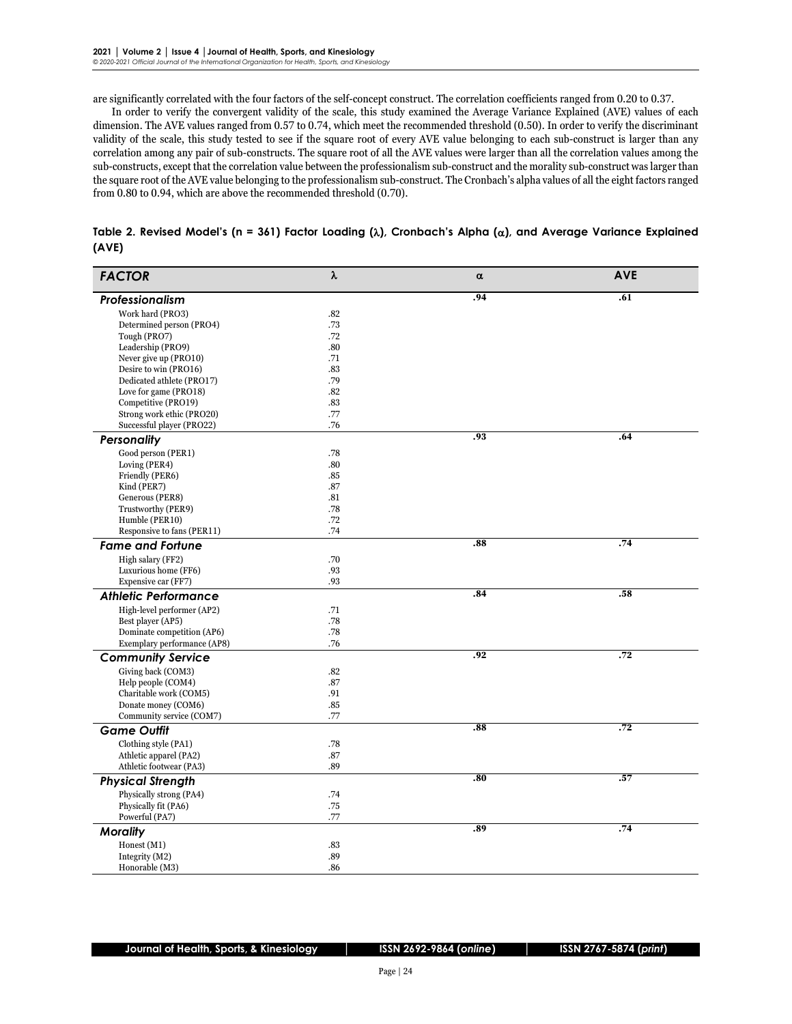are significantly correlated with the four factors of the self-concept construct. The correlation coefficients ranged from 0.20 to 0.37.

In order to verify the convergent validity of the scale, this study examined the Average Variance Explained (AVE) values of each dimension. The AVE values ranged from 0.57 to 0.74, which meet the recommended threshold (0.50). In order to verify the discriminant validity of the scale, this study tested to see if the square root of every AVE value belonging to each sub-construct is larger than any correlation among any pair of sub-constructs. The square root of all the AVE values were larger than all the correlation values among the sub-constructs, except that the correlation value between the professionalism sub-construct and the morality sub-construct was larger than the square root of the AVE value belonging to the professionalism sub-construct. The Cronbach's alpha values of all the eight factors ranged from 0.80 to 0.94, which are above the recommended threshold (0.70).

| <b>FACTOR</b>               | λ   | $\alpha$         | <b>AVE</b> |
|-----------------------------|-----|------------------|------------|
| Professionalism             |     | , 94             | .61        |
| Work hard (PRO3)            | .82 |                  |            |
| Determined person (PRO4)    | .73 |                  |            |
| Tough (PRO7)                | .72 |                  |            |
| Leadership (PRO9)           | .80 |                  |            |
| Never give up (PRO10)       | .71 |                  |            |
| Desire to win (PRO16)       | .83 |                  |            |
| Dedicated athlete (PRO17)   | .79 |                  |            |
| Love for game (PRO18)       | .82 |                  |            |
| Competitive (PRO19)         | .83 |                  |            |
| Strong work ethic (PRO20)   | .77 |                  |            |
| Successful player (PRO22)   | .76 |                  |            |
| Personality                 |     | .93              | .64        |
| Good person (PER1)          | .78 |                  |            |
| Loving (PER4)               | .80 |                  |            |
| Friendly (PER6)             | .85 |                  |            |
| Kind (PER7)                 | .87 |                  |            |
| Generous (PER8)             | .81 |                  |            |
| Trustworthy (PER9)          | .78 |                  |            |
| Humble (PER10)              | .72 |                  |            |
| Responsive to fans (PER11)  | .74 |                  |            |
| <b>Fame and Fortune</b>     |     | .88              | , 74       |
| High salary (FF2)           | .70 |                  |            |
| Luxurious home (FF6)        | .93 |                  |            |
| Expensive car (FF7)         | .93 |                  |            |
| <b>Athletic Performance</b> |     | .84              | .58        |
| High-level performer (AP2)  | .71 |                  |            |
| Best player (AP5)           | .78 |                  |            |
| Dominate competition (AP6)  | .78 |                  |            |
| Exemplary performance (AP8) | .76 |                  |            |
| <b>Community Service</b>    |     | , 92             | .72        |
| Giving back (COM3)          | .82 |                  |            |
| Help people (COM4)          | .87 |                  |            |
| Charitable work (COM5)      | .91 |                  |            |
| Donate money (COM6)         | .85 |                  |            |
| Community service (COM7)    | .77 |                  |            |
| <b>Game Outfit</b>          |     | $.\overline{88}$ | .72        |
| Clothing style (PA1)        | .78 |                  |            |
| Athletic apparel (PA2)      | .87 |                  |            |
| Athletic footwear (PA3)     | .89 |                  |            |
| <b>Physical Strength</b>    |     | $\overline{.80}$ | .57        |
| Physically strong (PA4)     | .74 |                  |            |
| Physically fit (PA6)        | .75 |                  |            |
| Powerful (PA7)              | .77 |                  |            |
| <b>Morality</b>             |     | .89              | , 74       |
| Honest (M1)                 | .83 |                  |            |
| Integrity (M2)              | .89 |                  |            |
| Honorable (M3)              | .86 |                  |            |

| Table 2. Revised Model's (n = 361) Factor Loading ( $\lambda$ ), Cronbach's Alpha ( $\alpha$ ), and Average Variance Explained |  |  |  |
|--------------------------------------------------------------------------------------------------------------------------------|--|--|--|
| (AVE)                                                                                                                          |  |  |  |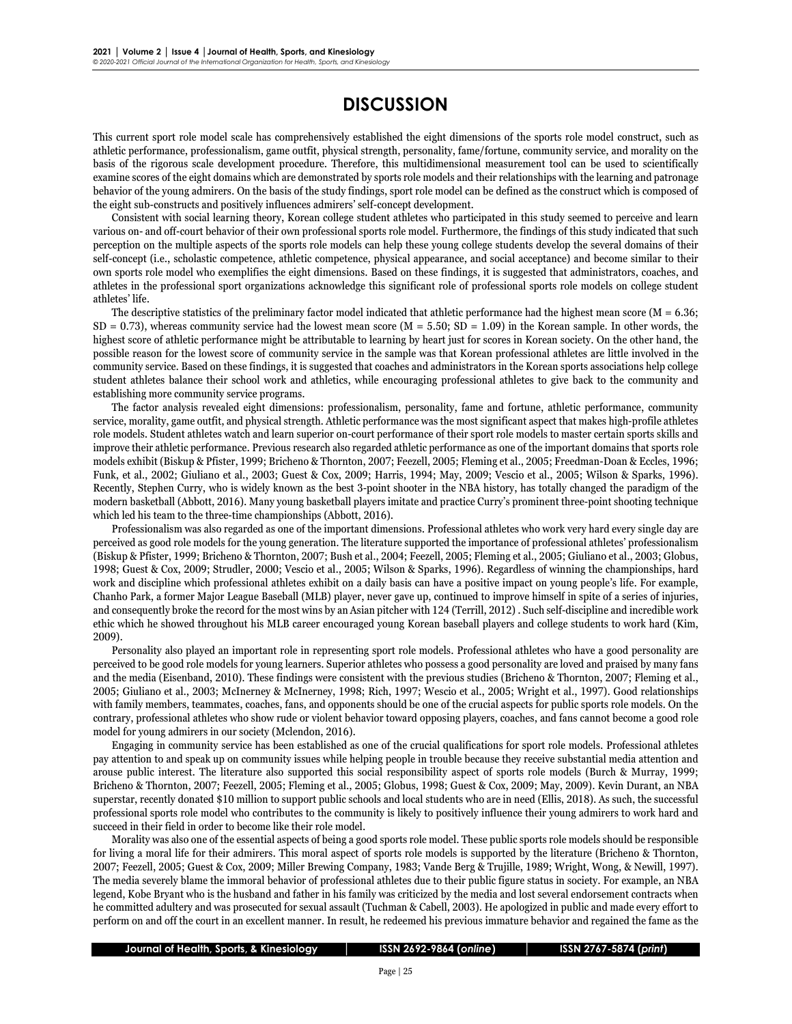## **DISCUSSION**

This current sport role model scale has comprehensively established the eight dimensions of the sports role model construct, such as athletic performance, professionalism, game outfit, physical strength, personality, fame/fortune, community service, and morality on the basis of the rigorous scale development procedure. Therefore, this multidimensional measurement tool can be used to scientifically examine scores of the eight domains which are demonstrated by sports role models and their relationships with the learning and patronage behavior of the young admirers. On the basis of the study findings, sport role model can be defined as the construct which is composed of the eight sub-constructs and positively influences admirers' self-concept development.

Consistent with social learning theory, Korean college student athletes who participated in this study seemed to perceive and learn various on- and off-court behavior of their own professional sports role model. Furthermore, the findings of this study indicated that such perception on the multiple aspects of the sports role models can help these young college students develop the several domains of their self-concept (i.e., scholastic competence, athletic competence, physical appearance, and social acceptance) and become similar to their own sports role model who exemplifies the eight dimensions. Based on these findings, it is suggested that administrators, coaches, and athletes in the professional sport organizations acknowledge this significant role of professional sports role models on college student athletes' life.

The descriptive statistics of the preliminary factor model indicated that athletic performance had the highest mean score ( $M = 6.36$ ;  $SD = 0.73$ ), whereas community service had the lowest mean score (M = 5.50; SD = 1.09) in the Korean sample. In other words, the highest score of athletic performance might be attributable to learning by heart just for scores in Korean society. On the other hand, the possible reason for the lowest score of community service in the sample was that Korean professional athletes are little involved in the community service. Based on these findings, it is suggested that coaches and administrators in the Korean sports associations help college student athletes balance their school work and athletics, while encouraging professional athletes to give back to the community and establishing more community service programs.

The factor analysis revealed eight dimensions: professionalism, personality, fame and fortune, athletic performance, community service, morality, game outfit, and physical strength. Athletic performance was the most significant aspect that makes high-profile athletes role models. Student athletes watch and learn superior on-court performance of their sport role models to master certain sports skills and improve their athletic performance. Previous research also regarded athletic performance as one of the important domains that sports role models exhibit (Biskup & Pfister, 1999; Bricheno & Thornton, 2007; Feezell, 2005; Fleming et al., 2005; Freedman-Doan & Eccles, 1996; Funk, et al., 2002; Giuliano et al., 2003; Guest & Cox, 2009; Harris, 1994; May, 2009; Vescio et al., 2005; Wilson & Sparks, 1996). Recently, Stephen Curry, who is widely known as the best 3-point shooter in the NBA history, has totally changed the paradigm of the modern basketball (Abbott, 2016). Many young basketball players imitate and practice Curry's prominent three-point shooting technique which led his team to the three-time championships (Abbott, 2016).

Professionalism was also regarded as one of the important dimensions. Professional athletes who work very hard every single day are perceived as good role models for the young generation. The literature supported the importance of professional athletes' professionalism (Biskup & Pfister, 1999; Bricheno & Thornton, 2007; Bush et al., 2004; Feezell, 2005; Fleming et al., 2005; Giuliano et al., 2003; Globus, 1998; Guest & Cox, 2009; Strudler, 2000; Vescio et al., 2005; Wilson & Sparks, 1996). Regardless of winning the championships, hard work and discipline which professional athletes exhibit on a daily basis can have a positive impact on young people's life. For example, Chanho Park, a former Major League Baseball (MLB) player, never gave up, continued to improve himself in spite of a series of injuries, and consequently broke the record for the most wins by an Asian pitcher with 124 (Terrill, 2012) . Such self-discipline and incredible work ethic which he showed throughout his MLB career encouraged young Korean baseball players and college students to work hard (Kim, 2009).

Personality also played an important role in representing sport role models. Professional athletes who have a good personality are perceived to be good role models for young learners. Superior athletes who possess a good personality are loved and praised by many fans and the media (Eisenband, 2010). These findings were consistent with the previous studies (Bricheno & Thornton, 2007; Fleming et al., 2005; Giuliano et al., 2003; McInerney & McInerney, 1998; Rich, 1997; Wescio et al., 2005; Wright et al., 1997). Good relationships with family members, teammates, coaches, fans, and opponents should be one of the crucial aspects for public sports role models. On the contrary, professional athletes who show rude or violent behavior toward opposing players, coaches, and fans cannot become a good role model for young admirers in our society (Mclendon, 2016).

Engaging in community service has been established as one of the crucial qualifications for sport role models. Professional athletes pay attention to and speak up on community issues while helping people in trouble because they receive substantial media attention and arouse public interest. The literature also supported this social responsibility aspect of sports role models (Burch & Murray, 1999; Bricheno & Thornton, 2007; Feezell, 2005; Fleming et al., 2005; Globus, 1998; Guest & Cox, 2009; May, 2009). Kevin Durant, an NBA superstar, recently donated \$10 million to support public schools and local students who are in need (Ellis, 2018). As such, the successful professional sports role model who contributes to the community is likely to positively influence their young admirers to work hard and succeed in their field in order to become like their role model.

Morality was also one of the essential aspects of being a good sports role model. These public sports role models should be responsible for living a moral life for their admirers. This moral aspect of sports role models is supported by the literature (Bricheno & Thornton, 2007; Feezell, 2005; Guest & Cox, 2009; Miller Brewing Company, 1983; Vande Berg & Trujille, 1989; Wright, Wong, & Newill, 1997). The media severely blame the immoral behavior of professional athletes due to their public figure status in society. For example, an NBA legend, Kobe Bryant who is the husband and father in his family was criticized by the media and lost several endorsement contracts when he committed adultery and was prosecuted for sexual assault (Tuchman & Cabell, 2003). He apologized in public and made every effort to perform on and off the court in an excellent manner. In result, he redeemed his previous immature behavior and regained the fame as the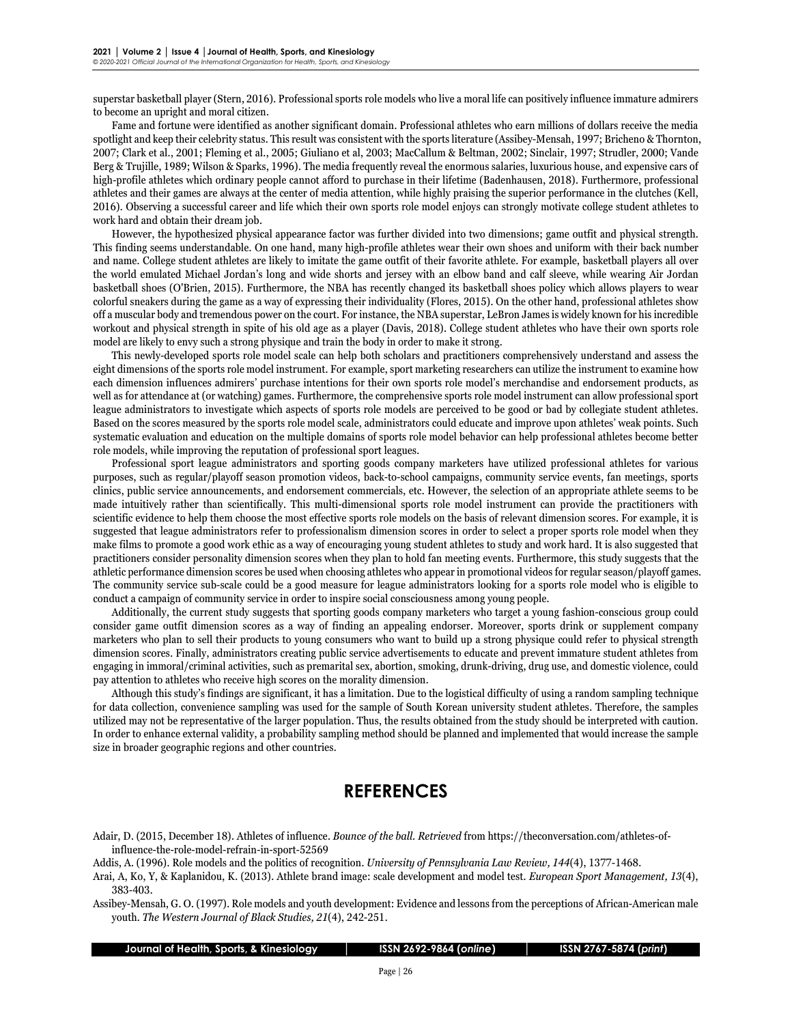superstar basketball player (Stern, 2016). Professional sports role models who live a moral life can positively influence immature admirers to become an upright and moral citizen.

Fame and fortune were identified as another significant domain. Professional athletes who earn millions of dollars receive the media spotlight and keep their celebrity status. This result was consistent with the sports literature (Assibey-Mensah, 1997; Bricheno & Thornton, 2007; Clark et al., 2001; Fleming et al., 2005; Giuliano et al, 2003; MacCallum & Beltman, 2002; Sinclair, 1997; Strudler, 2000; Vande Berg & Trujille, 1989; Wilson & Sparks, 1996). The media frequently reveal the enormous salaries, luxurious house, and expensive cars of high-profile athletes which ordinary people cannot afford to purchase in their lifetime (Badenhausen, 2018). Furthermore, professional athletes and their games are always at the center of media attention, while highly praising the superior performance in the clutches (Kell, 2016). Observing a successful career and life which their own sports role model enjoys can strongly motivate college student athletes to work hard and obtain their dream job.

However, the hypothesized physical appearance factor was further divided into two dimensions; game outfit and physical strength. This finding seems understandable. On one hand, many high-profile athletes wear their own shoes and uniform with their back number and name. College student athletes are likely to imitate the game outfit of their favorite athlete. For example, basketball players all over the world emulated Michael Jordan's long and wide shorts and jersey with an elbow band and calf sleeve, while wearing Air Jordan basketball shoes (O'Brien, 2015). Furthermore, the NBA has recently changed its basketball shoes policy which allows players to wear colorful sneakers during the game as a way of expressing their individuality (Flores, 2015). On the other hand, professional athletes show off a muscular body and tremendous power on the court. For instance, the NBA superstar, LeBron James is widely known for his incredible workout and physical strength in spite of his old age as a player (Davis, 2018). College student athletes who have their own sports role model are likely to envy such a strong physique and train the body in order to make it strong.

This newly-developed sports role model scale can help both scholars and practitioners comprehensively understand and assess the eight dimensions of the sports role model instrument. For example, sport marketing researchers can utilize the instrument to examine how each dimension influences admirers' purchase intentions for their own sports role model's merchandise and endorsement products, as well as for attendance at (or watching) games. Furthermore, the comprehensive sports role model instrument can allow professional sport league administrators to investigate which aspects of sports role models are perceived to be good or bad by collegiate student athletes. Based on the scores measured by the sports role model scale, administrators could educate and improve upon athletes' weak points. Such systematic evaluation and education on the multiple domains of sports role model behavior can help professional athletes become better role models, while improving the reputation of professional sport leagues.

Professional sport league administrators and sporting goods company marketers have utilized professional athletes for various purposes, such as regular/playoff season promotion videos, back-to-school campaigns, community service events, fan meetings, sports clinics, public service announcements, and endorsement commercials, etc. However, the selection of an appropriate athlete seems to be made intuitively rather than scientifically. This multi-dimensional sports role model instrument can provide the practitioners with scientific evidence to help them choose the most effective sports role models on the basis of relevant dimension scores. For example, it is suggested that league administrators refer to professionalism dimension scores in order to select a proper sports role model when they make films to promote a good work ethic as a way of encouraging young student athletes to study and work hard. It is also suggested that practitioners consider personality dimension scores when they plan to hold fan meeting events. Furthermore, this study suggests that the athletic performance dimension scores be used when choosing athletes who appear in promotional videos for regular season/playoff games. The community service sub-scale could be a good measure for league administrators looking for a sports role model who is eligible to conduct a campaign of community service in order to inspire social consciousness among young people.

Additionally, the current study suggests that sporting goods company marketers who target a young fashion-conscious group could consider game outfit dimension scores as a way of finding an appealing endorser. Moreover, sports drink or supplement company marketers who plan to sell their products to young consumers who want to build up a strong physique could refer to physical strength dimension scores. Finally, administrators creating public service advertisements to educate and prevent immature student athletes from engaging in immoral/criminal activities, such as premarital sex, abortion, smoking, drunk-driving, drug use, and domestic violence, could pay attention to athletes who receive high scores on the morality dimension.

Although this study's findings are significant, it has a limitation. Due to the logistical difficulty of using a random sampling technique for data collection, convenience sampling was used for the sample of South Korean university student athletes. Therefore, the samples utilized may not be representative of the larger population. Thus, the results obtained from the study should be interpreted with caution. In order to enhance external validity, a probability sampling method should be planned and implemented that would increase the sample size in broader geographic regions and other countries.

## **REFERENCES**

Adair, D. (2015, December 18). Athletes of influence. *Bounce of the ball. Retrieved* fro[m https://theconversation.com/athletes-of](https://theconversation.com/athletes-of-%09influence-the-role-model-refrain-in-sport-)[influence-the-role-model-refrain-in-sport-5](https://theconversation.com/athletes-of-%09influence-the-role-model-refrain-in-sport-)2569

Addis, A. (1996). Role models and the politics of recognition. *University of Pennsylvania Law Review, 144*(4), 1377-1468.

Arai, A, Ko, Y, & Kaplanidou, K. (2013). Athlete brand image: scale development and model test. *European Sport Management, 13*(4), 383-403.

Assibey-Mensah, G. O. (1997). Role models and youth development: Evidence and lessons from the perceptions of African-American male youth. *The Western Journal of Black Studies, 21*(4), 242-251.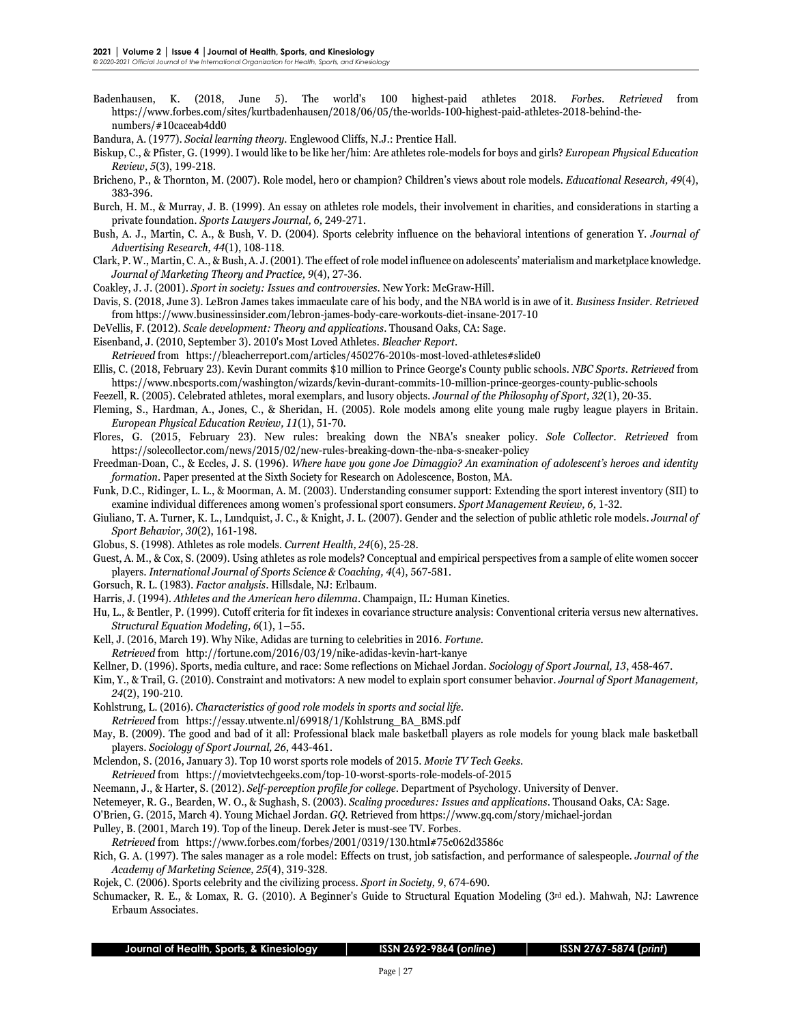Badenhausen, K. (2018, June 5). The world's 100 highest-paid athletes 2018. *Forbes*. *Retrieved* from [https://www.forbes.com/sites/kurtbadenhausen/2018/06/05/the-worlds-100-highest-paid-athletes-2018-behind-the](https://www.forbes.com/sites/kurtbadenhausen/2018/06/05/the-worlds-100-highest-paid-athletes-2018-behind-the-)numbers/#10caceab4dd0

Bandura, A. (1977). *Social learning theory.* Englewood Cliffs, N.J.: Prentice Hall.

- Biskup, C., & Pfister, G. (1999). I would like to be like her/him: Are athletes role-models for boys and girls? *European Physical Education Review, 5*(3), 199-218.
- Bricheno, P., & Thornton, M. (2007). Role model, hero or champion? Children's views about role models. *Educational Research, 49*(4), 383-396.
- Burch, H. M., & Murray, J. B. (1999). An essay on athletes role models, their involvement in charities, and considerations in starting a private foundation. *Sports Lawyers Journal, 6,* 249-271.
- Bush, A. J., Martin, C. A., & Bush, V. D. (2004). Sports celebrity influence on the behavioral intentions of generation Y. *Journal of Advertising Research, 44*(1), 108-118.
- Clark, P. W., Martin, C. A., & Bush, A. J. (2001). The effect of role model influence on adolescents' materialism and marketplace knowledge*. Journal of Marketing Theory and Practice, 9*(4), 27-36.
- Coakley, J. J. (2001). *Sport in society: Issues and controversies.* New York: McGraw-Hill.
- Davis, S. (2018, June 3). LeBron James takes immaculate care of his body, and the NBA world is in awe of it. *Business Insider. Retrieved*  from https://www.businessinsider.com/lebron-james-body-care-workouts-diet-insane-2017-10
- DeVellis, F. (2012). *Scale development: Theory and applications.* Thousand Oaks, CA: Sage.
- Eisenband, J. (2010, September 3). 2010's Most Loved Athletes. *Bleacher Report.*
- *Retrieved* from https://bleacherreport.com/articles/450276-2010s-most-loved-athletes#slide0
- Ellis, C. (2018, February 23). Kevin Durant commits \$10 million to Prince George's County public schools. *NBC Sports. Retrieved* from https://www.nbcsports.com/washington/wizards/kevin-durant-commits-10-million-prince-georges-county-public-schools
- Feezell, R. (2005). Celebrated athletes, moral exemplars, and lusory objects. *Journal of the Philosophy of Sport, 32*(1), 20-35.
- Fleming, S., Hardman, A., Jones, C., & Sheridan, H. (2005). Role models among elite young male rugby league players in Britain. *European Physical Education Review, 11*(1), 51-70.
- Flores, G. (2015, February 23). New rules: breaking down the NBA's sneaker policy. *Sole Collector. Retrieved* from [https://solecollector.com/news/2015/02/new-rules-b](https://solecollector.com/news/2015/02/new-rules-)reaking-down-the-nba-s-sneaker-policy
- Freedman-Doan, C., & Eccles, J. S. (1996). *Where have you gone Joe Dimaggio? An examination of adolescent's heroes and identity formation.* Paper presented at the Sixth Society for Research on Adolescence, Boston, MA.
- Funk, D.C., Ridinger, L. L., & Moorman, A. M. (2003). Understanding consumer support: Extending the sport interest inventory (SII) to examine individual differences among women's professional sport consumers. *Sport Management Review, 6,* 1-32.
- Giuliano, T. A. Turner, K. L., Lundquist, J. C., & Knight, J. L. (2007). Gender and the selection of public athletic role models. *Journal of Sport Behavior, 30*(2), 161-198.
- Globus, S. (1998). Athletes as role models. *Current Health, 24*(6), 25-28.
- Guest, A. M., & Cox, S. (2009). Using athletes as role models? Conceptual and empirical perspectives from a sample of elite women soccer players. *International Journal of Sports Science & Coaching, 4*(4), 567-581.
- Gorsuch, R. L. (1983). *Factor analysis*. Hillsdale, NJ: Erlbaum.
- Harris, J. (1994). *Athletes and the American hero dilemma.* Champaign, IL: Human Kinetics.
- Hu, L., & Bentler, P. (1999). Cutoff criteria for fit indexes in covariance structure analysis: Conventional criteria versus new alternatives. *Structural Equation Modeling, 6*(1), 1–55.
- Kell, J. (2016, March 19). Why Nike, Adidas are turning to celebrities in 2016. *Fortune. Retrieved* from http://fortune.com/2016/03/19/nike-adidas-kevin-hart-kanye
- Kellner, D. (1996). Sports, media culture, and race: Some reflections on Michael Jordan. *Sociology of Sport Journal, 13*, 458-467.
- Kim, Y., & Trail, G. (2010). Constraint and motivators: A new model to explain sport consumer behavior. *Journal of Sport Management, 24*(2), 190-210.
- Kohlstrung, L. (2016). *Characteristics of good role models in sports and social life. Retrieved* from https://essay.utwente.nl/69918/1/Kohlstrung\_BA\_BMS.pdf
- May, B. (2009). The good and bad of it all: Professional black male basketball players as role models for young black male basketball players. *Sociology of Sport Journal, 26*, 443-461.
- Mclendon, S. (2016, January 3). Top 10 worst sports role models of 2015. *Movie TV Tech Geeks.*
- *Retrieved* from [https://movietvtechgeeks.com/top-10-worst-sports-role-m](https://movietvtechgeeks.com/top-10-worst-sports-role-)odels-of-2015
- Neemann, J., & Harter, S. (2012). *Self-perception profile for college.* Department of Psychology. University of Denver.
- Netemeyer, R. G., Bearden, W. O., & Sughash, S. (2003). *Scaling procedures: Issues and applications.* Thousand Oaks, CA: Sage.
- O'Brien, G. (2015, March 4). Young Michael Jordan. *GQ.* Retrieved from https://www.gq.com/story/michael-jordan
- Pulley, B. (2001, March 19). Top of the lineup. Derek Jeter is must-see TV. Forbes.
- *Retrieved* from https://www.forbes.com/forbes/2001/0319/130.html#75c062d3586c
- Rich, G. A. (1997). The sales manager as a role model: Effects on trust, job satisfaction, and performance of salespeople. *Journal of the Academy of Marketing Science, 25*(4), 319-328.
- Rojek, C. (2006). Sports celebrity and the civilizing process. *Sport in Society, 9*, 674-690.
- Schumacker, R. E., & Lomax, R. G. (2010). A Beginner's Guide to Structural Equation Modeling (3rd ed.). Mahwah, NJ: Lawrence Erbaum Associates.